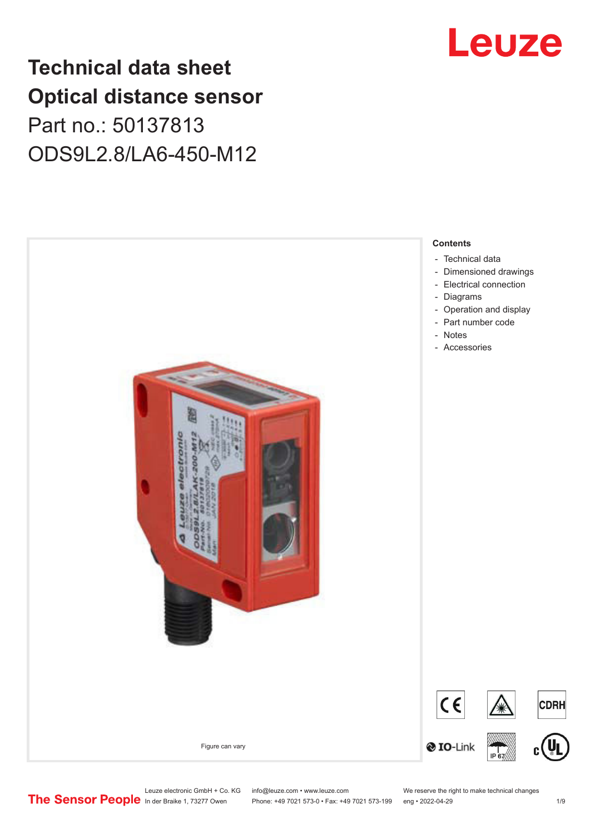## **Technical data sheet Optical distance sensor** Part no.: 50137813 ODS9L2.8/LA6-450-M12



Phone: +49 7021 573-0 • Fax: +49 7021 573-199 eng • 2022-04-29 1 /9

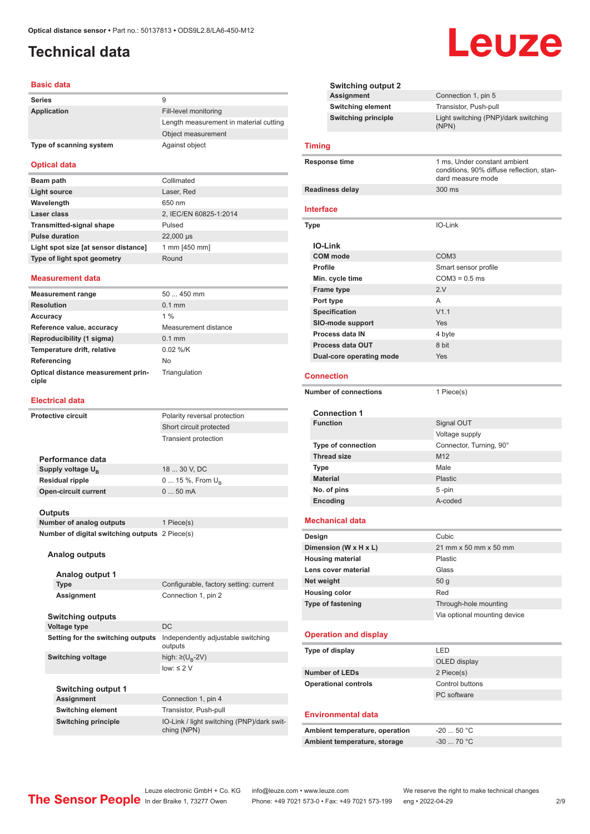### <span id="page-1-0"></span>**Technical data**

#### **Basic data**

| <b>Series</b>           | 9                                      |
|-------------------------|----------------------------------------|
| Application             | Fill-level monitoring                  |
|                         | Length measurement in material cutting |
|                         | Object measurement                     |
| Type of scanning system | Against object                         |

#### **Optical data**

| Beam path                            | Collimated             |
|--------------------------------------|------------------------|
| Light source                         | Laser, Red             |
| Wavelength                           | 650 nm                 |
| Laser class                          | 2, IEC/EN 60825-1:2014 |
| <b>Transmitted-signal shape</b>      | Pulsed                 |
| <b>Pulse duration</b>                | 22,000 µs              |
| Light spot size [at sensor distance] | 1 mm [450 mm]          |
| Type of light spot geometry          | Round                  |

#### **Measurement data**

| <b>Measurement range</b>                    | $50450$ mm           |
|---------------------------------------------|----------------------|
| <b>Resolution</b>                           | $0.1$ mm             |
| Accuracy                                    | $1\%$                |
| Reference value, accuracy                   | Measurement distance |
| Reproducibility (1 sigma)                   | $0.1$ mm             |
| Temperature drift, relative                 | $0.02$ %/K           |
| Referencing                                 | No                   |
| Optical distance measurement prin-<br>ciple | Triangulation        |

#### **Electrical data**

| <b>Protective circuit</b> |                                                | Polarity reversal protection                              |
|---------------------------|------------------------------------------------|-----------------------------------------------------------|
|                           |                                                | Short circuit protected                                   |
|                           |                                                | <b>Transient protection</b>                               |
|                           |                                                |                                                           |
|                           | Performance data                               |                                                           |
|                           | Supply voltage U <sub>B</sub>                  | 18  30 V, DC                                              |
|                           | <b>Residual ripple</b>                         | $0 15 \%$ , From $U_{\rm B}$                              |
|                           | <b>Open-circuit current</b>                    | $050$ mA                                                  |
|                           |                                                |                                                           |
|                           | <b>Outputs</b>                                 |                                                           |
|                           | <b>Number of analog outputs</b>                | 1 Piece(s)                                                |
|                           | Number of digital switching outputs 2 Piece(s) |                                                           |
|                           |                                                |                                                           |
|                           | Analog outputs                                 |                                                           |
|                           | Analog output 1                                |                                                           |
|                           | <b>Type</b>                                    | Configurable, factory setting: current                    |
|                           | <b>Assignment</b>                              | Connection 1, pin 2                                       |
|                           |                                                |                                                           |
| <b>Switching outputs</b>  |                                                |                                                           |
|                           | <b>Voltage type</b>                            | <b>DC</b>                                                 |
|                           | Setting for the switching outputs              | Independently adjustable switching<br>outputs             |
|                           | <b>Switching voltage</b>                       | high: $\geq$ (U <sub>R</sub> -2V)                         |
|                           |                                                | $low: \leq 2$ V                                           |
|                           |                                                |                                                           |
|                           | <b>Switching output 1</b>                      |                                                           |
|                           | <b>Assignment</b>                              | Connection 1, pin 4                                       |
|                           | <b>Switching element</b>                       | Transistor, Push-pull                                     |
|                           | <b>Switching principle</b>                     | IO-Link / light switching (PNP)/dark swit-<br>ching (NPN) |
|                           |                                                |                                                           |

|                  | <b>Switching output 2</b>    |                                                                                                |
|------------------|------------------------------|------------------------------------------------------------------------------------------------|
|                  | Assignment                   | Connection 1, pin 5                                                                            |
|                  | <b>Switching element</b>     | Transistor, Push-pull                                                                          |
|                  | <b>Switching principle</b>   | Light switching (PNP)/dark switching<br>(NPN)                                                  |
| <b>Timing</b>    |                              |                                                                                                |
|                  | Response time                | 1 ms, Under constant ambient<br>conditions, 90% diffuse reflection, stan-<br>dard measure mode |
|                  | <b>Readiness delay</b>       | 300 ms                                                                                         |
| <b>Interface</b> |                              |                                                                                                |
| <b>Type</b>      |                              | IO-Link                                                                                        |
|                  | <b>IO-Link</b>               |                                                                                                |
|                  | <b>COM</b> mode              | COM <sub>3</sub>                                                                               |
| Profile          |                              | Smart sensor profile                                                                           |
|                  | Min. cycle time              | $COM3 = 0.5$ ms                                                                                |
|                  | <b>Frame type</b>            | 2.V                                                                                            |
|                  | Port type                    | A                                                                                              |
|                  | <b>Specification</b>         | V1.1                                                                                           |
|                  | SIO-mode support             | Yes                                                                                            |
|                  | Process data IN              | 4 byte                                                                                         |
|                  | Process data OUT             | 8 bit                                                                                          |
|                  |                              | Yes                                                                                            |
|                  | Dual-core operating mode     |                                                                                                |
|                  | <b>Connection</b>            |                                                                                                |
|                  | <b>Number of connections</b> | 1 Piece(s)                                                                                     |
|                  |                              |                                                                                                |
|                  | <b>Connection 1</b>          |                                                                                                |
|                  | <b>Function</b>              | Signal OUT                                                                                     |
|                  |                              | Voltage supply                                                                                 |
|                  | <b>Type of connection</b>    | Connector, Turning, 90°                                                                        |
|                  | <b>Thread size</b>           | M12                                                                                            |
| Type             |                              | Male                                                                                           |
|                  | <b>Material</b>              | Plastic                                                                                        |
|                  | No. of pins                  | 5-pin                                                                                          |
|                  | Encoding                     | A-coded                                                                                        |
|                  | <b>Mechanical data</b>       |                                                                                                |
|                  |                              |                                                                                                |
| Design           |                              | Cubic                                                                                          |
|                  | Dimension (W x H x L)        | 21 mm x 50 mm x 50 mm                                                                          |
|                  | <b>Housing material</b>      | Plastic                                                                                        |
|                  | Lens cover material          | Glass                                                                                          |
| Net weight       |                              | 50 <sub>g</sub>                                                                                |
|                  | <b>Housing color</b>         | Red                                                                                            |
|                  | <b>Type of fastening</b>     | Through-hole mounting                                                                          |
|                  |                              | Via optional mounting device                                                                   |
|                  | <b>Operation and display</b> |                                                                                                |
|                  | Type of display              | LED                                                                                            |
|                  |                              | OLED display                                                                                   |
|                  | <b>Number of LEDs</b>        | 2 Piece(s)                                                                                     |
|                  | <b>Operational controls</b>  | Control buttons                                                                                |
|                  |                              | PC software                                                                                    |
|                  | Environmental data           |                                                                                                |
|                  |                              |                                                                                                |

| Ambient temperature, operation | -20  50 °C |
|--------------------------------|------------|
| Ambient temperature, storage   | $-3070$ °C |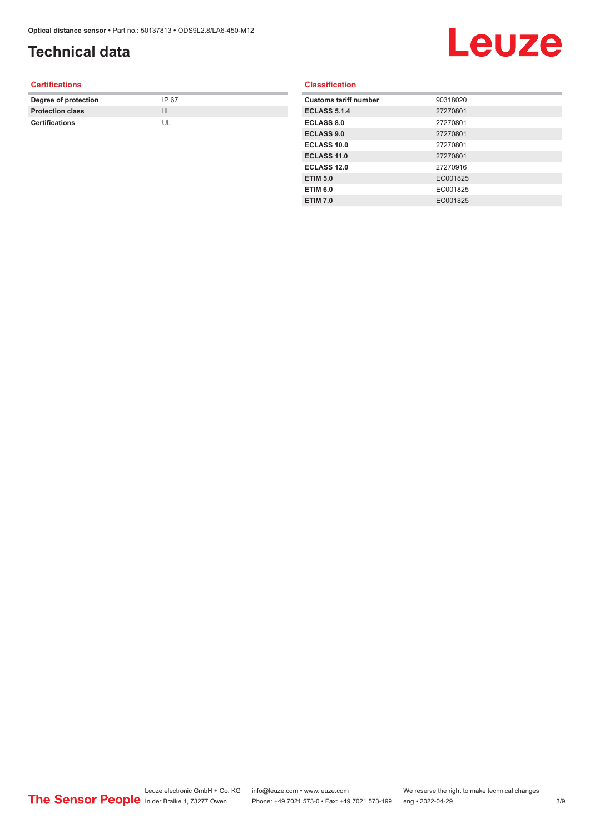### **Technical data**

## Leuze

#### **Certifications**

| Degree of protection    | IP 67 |
|-------------------------|-------|
| <b>Protection class</b> | Ш     |
| <b>Certifications</b>   |       |

#### **Classification**

| <b>Customs tariff number</b> | 90318020 |
|------------------------------|----------|
| <b>ECLASS 5.1.4</b>          | 27270801 |
| <b>ECLASS 8.0</b>            | 27270801 |
| <b>ECLASS 9.0</b>            | 27270801 |
| <b>ECLASS 10.0</b>           | 27270801 |
| ECLASS 11.0                  | 27270801 |
| <b>ECLASS 12.0</b>           | 27270916 |
| <b>ETIM 5.0</b>              | EC001825 |
| <b>ETIM 6.0</b>              | EC001825 |
| <b>ETIM 7.0</b>              | EC001825 |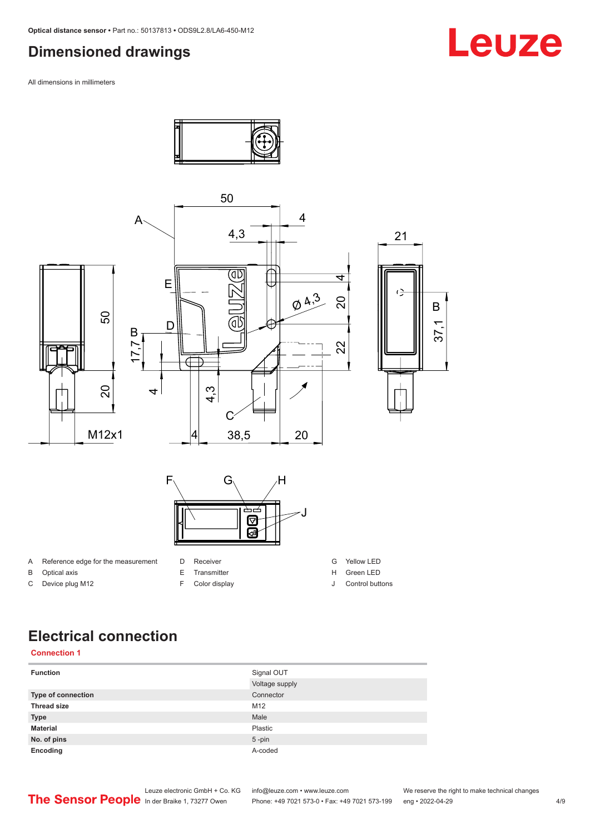#### <span id="page-3-0"></span>**Dimensioned drawings**

All dimensions in millimeters



#### **Electrical connection**

#### **Connection 1**

| <b>Function</b>    | Signal OUT     |
|--------------------|----------------|
|                    | Voltage supply |
| Type of connection | Connector      |
| <b>Thread size</b> | M12            |
| <b>Type</b>        | Male           |
| <b>Material</b>    | Plastic        |
| No. of pins        | $5$ -pin       |
| Encoding           | A-coded        |

Leuze electronic GmbH + Co. KG info@leuze.com • www.leuze.com We reserve the right to make technical changes<br>
The Sensor People in der Braike 1, 73277 Owen Phone: +49 7021 573-0 • Fax: +49 7021 573-199 eng • 2022-04-29

Phone: +49 7021 573-0 • Fax: +49 7021 573-199 eng • 2022-04-29 4/9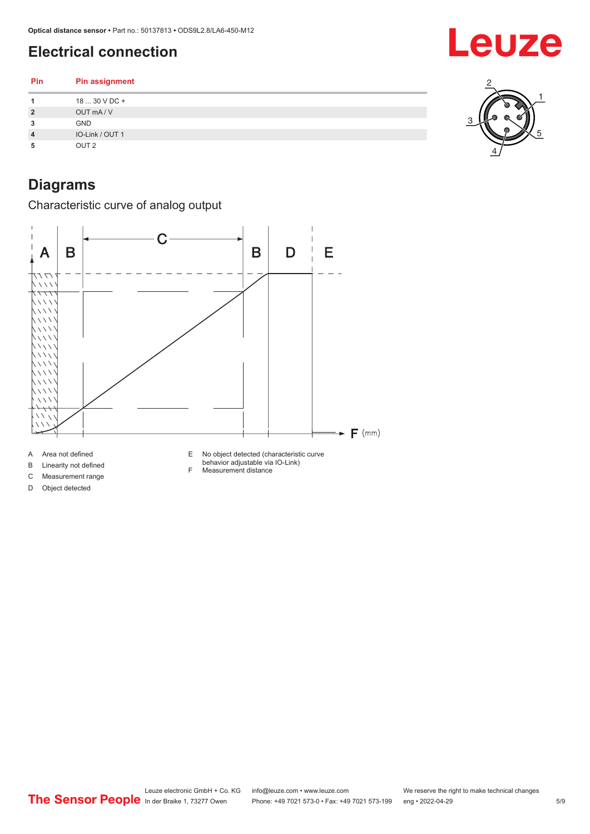### <span id="page-4-0"></span>**Electrical connection**

**Pin Pin assignment 1** 18 ... 30 V DC + **2** OUT mA / V **3** GND **4** IO-Link / OUT 1 **5** OUT 2

## **Diagrams**

Characteristic curve of analog output



D Object detected

F Measurement distance

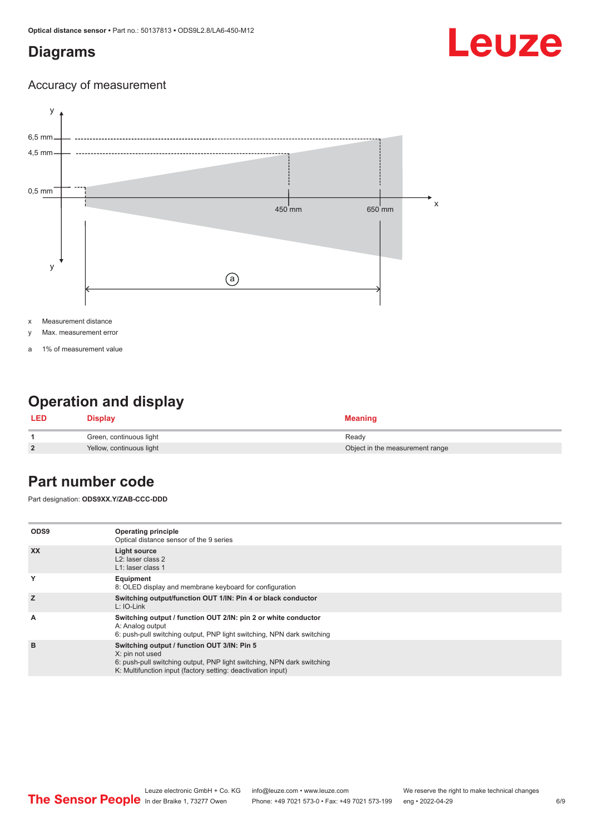#### <span id="page-5-0"></span>**Diagrams**

# Leuze

#### Accuracy of measurement



x Measurement distance

- y Max. measurement error
- a 1% of measurement value

### **Operation and display**

| <b>LED</b>   | Display                  | <b>Meaning</b>                  |
|--------------|--------------------------|---------------------------------|
|              | Green, continuous light  | Ready                           |
| $\mathbf{2}$ | Yellow, continuous light | Object in the measurement range |

#### **Part number code**

Part designation: **ODS9XX.Y/ZAB-CCC-DDD**

| ODS <sub>9</sub> | <b>Operating principle</b><br>Optical distance sensor of the 9 series                                                                                                                                    |
|------------------|----------------------------------------------------------------------------------------------------------------------------------------------------------------------------------------------------------|
| <b>XX</b>        | Light source<br>$L2$ : laser class 2<br>L1: laser class 1                                                                                                                                                |
| Y                | Equipment<br>8: OLED display and membrane keyboard for configuration                                                                                                                                     |
| z                | Switching output/function OUT 1/IN: Pin 4 or black conductor<br>L: IO-Link                                                                                                                               |
| A                | Switching output / function OUT 2/IN: pin 2 or white conductor<br>A: Analog output<br>6: push-pull switching output, PNP light switching, NPN dark switching                                             |
| в                | Switching output / function OUT 3/IN: Pin 5<br>X: pin not used<br>6: push-pull switching output, PNP light switching, NPN dark switching<br>K: Multifunction input (factory setting: deactivation input) |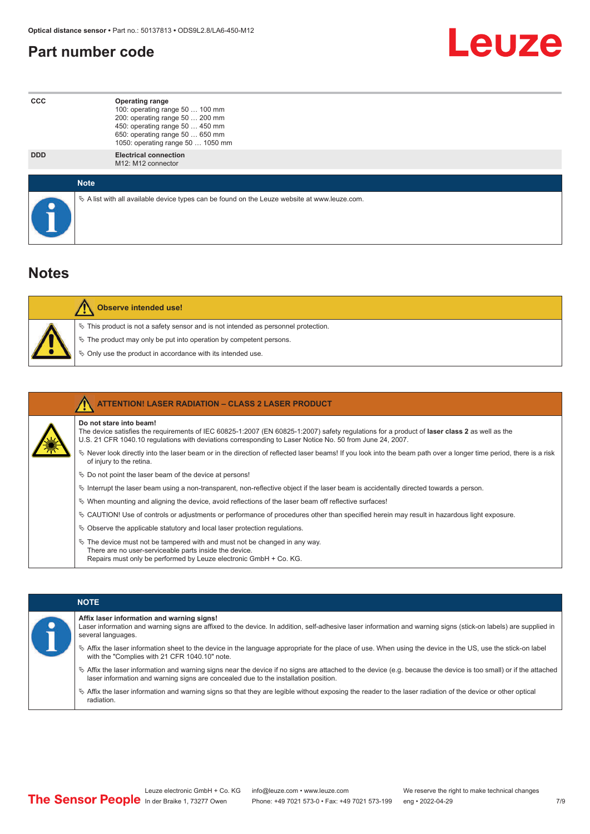#### <span id="page-6-0"></span>**Part number code**



| <b>CCC</b> | <b>Operating range</b><br>100: operating range 50  100 mm<br>200: operating range 50  200 mm<br>450: operating range 50  450 mm<br>650: operating range 50  650 mm<br>1050: operating range 50  1050 mm |
|------------|---------------------------------------------------------------------------------------------------------------------------------------------------------------------------------------------------------|
| <b>DDD</b> | <b>Electrical connection</b><br>M <sub>12</sub> : M <sub>12</sub> connector                                                                                                                             |
|            | <b>Note</b>                                                                                                                                                                                             |
|            | $\&$ A list with all available device types can be found on the Leuze website at www.leuze.com.                                                                                                         |

#### **Notes**

|  | <b>Observe intended use!</b>                                                          |
|--|---------------------------------------------------------------------------------------|
|  | $\%$ This product is not a safety sensor and is not intended as personnel protection. |
|  | § The product may only be put into operation by competent persons.                    |
|  | § Only use the product in accordance with its intended use.                           |

|  |                                                                                                                                                                                                                                                                                     | <b>ATTENTION! LASER RADIATION - CLASS 2 LASER PRODUCT</b>                                                                                                                                                    |
|--|-------------------------------------------------------------------------------------------------------------------------------------------------------------------------------------------------------------------------------------------------------------------------------------|--------------------------------------------------------------------------------------------------------------------------------------------------------------------------------------------------------------|
|  | Do not stare into beam!<br>The device satisfies the requirements of IEC 60825-1:2007 (EN 60825-1:2007) safety regulations for a product of laser class 2 as well as the<br>U.S. 21 CFR 1040.10 regulations with deviations corresponding to Laser Notice No. 50 from June 24, 2007. |                                                                                                                                                                                                              |
|  |                                                                                                                                                                                                                                                                                     | Never look directly into the laser beam or in the direction of reflected laser beams! If you look into the beam path over a longer time period, there is a risk<br>of injury to the retina.                  |
|  |                                                                                                                                                                                                                                                                                     | $\%$ Do not point the laser beam of the device at persons!                                                                                                                                                   |
|  |                                                                                                                                                                                                                                                                                     | $\%$ Interrupt the laser beam using a non-transparent, non-reflective object if the laser beam is accidentally directed towards a person.                                                                    |
|  |                                                                                                                                                                                                                                                                                     | $\%$ When mounting and aligning the device, avoid reflections of the laser beam off reflective surfaces!                                                                                                     |
|  |                                                                                                                                                                                                                                                                                     | $\%$ CAUTION! Use of controls or adjustments or performance of procedures other than specified herein may result in hazardous light exposure.                                                                |
|  |                                                                                                                                                                                                                                                                                     | $\%$ Observe the applicable statutory and local laser protection regulations.                                                                                                                                |
|  |                                                                                                                                                                                                                                                                                     | $\&$ The device must not be tampered with and must not be changed in any way.<br>There are no user-serviceable parts inside the device.<br>Repairs must only be performed by Leuze electronic GmbH + Co. KG. |

| <b>NOTE</b>                                                                                                                                                                                                                                                |
|------------------------------------------------------------------------------------------------------------------------------------------------------------------------------------------------------------------------------------------------------------|
| Affix laser information and warning signs!<br>Laser information and warning signs are affixed to the device. In addition, self-adhesive laser information and warning signs (stick-on labels) are supplied in<br>several languages.                        |
| Affix the laser information sheet to the device in the language appropriate for the place of use. When using the device in the US, use the stick-on label<br>with the "Complies with 21 CFR 1040.10" note.                                                 |
| $\%$ Affix the laser information and warning signs near the device if no signs are attached to the device (e.g. because the device is too small) or if the attached<br>laser information and warning signs are concealed due to the installation position. |
| Affix the laser information and warning signs so that they are legible without exposing the reader to the laser radiation of the device or other optical<br>radiation.                                                                                     |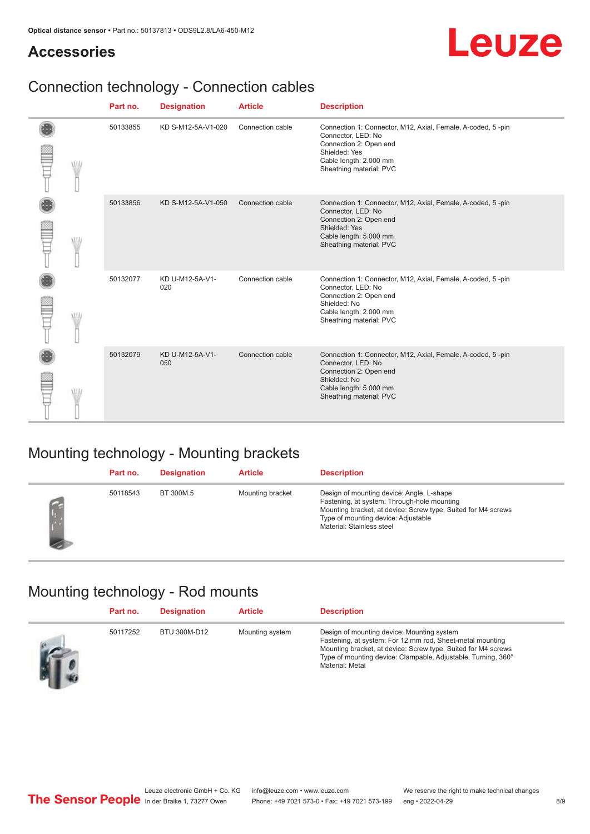#### **Accessories**

# Leuze

## Connection technology - Connection cables

|     | Part no. | <b>Designation</b>     | <b>Article</b>   | <b>Description</b>                                                                                                                                                                |
|-----|----------|------------------------|------------------|-----------------------------------------------------------------------------------------------------------------------------------------------------------------------------------|
| WII | 50133855 | KD S-M12-5A-V1-020     | Connection cable | Connection 1: Connector, M12, Axial, Female, A-coded, 5-pin<br>Connector, LED: No<br>Connection 2: Open end<br>Shielded: Yes<br>Cable length: 2.000 mm<br>Sheathing material: PVC |
|     | 50133856 | KD S-M12-5A-V1-050     | Connection cable | Connection 1: Connector, M12, Axial, Female, A-coded, 5-pin<br>Connector, LED: No<br>Connection 2: Open end<br>Shielded: Yes<br>Cable length: 5.000 mm<br>Sheathing material: PVC |
| W   | 50132077 | KD U-M12-5A-V1-<br>020 | Connection cable | Connection 1: Connector, M12, Axial, Female, A-coded, 5-pin<br>Connector, LED: No<br>Connection 2: Open end<br>Shielded: No<br>Cable length: 2.000 mm<br>Sheathing material: PVC  |
|     | 50132079 | KD U-M12-5A-V1-<br>050 | Connection cable | Connection 1: Connector, M12, Axial, Female, A-coded, 5-pin<br>Connector, LED: No<br>Connection 2: Open end<br>Shielded: No<br>Cable length: 5.000 mm<br>Sheathing material: PVC  |

### Mounting technology - Mounting brackets

| Part no. | <b>Designation</b> | <b>Article</b>   | <b>Description</b>                                                                                                                                                                                                            |
|----------|--------------------|------------------|-------------------------------------------------------------------------------------------------------------------------------------------------------------------------------------------------------------------------------|
| 50118543 | BT 300M.5          | Mounting bracket | Design of mounting device: Angle, L-shape<br>Fastening, at system: Through-hole mounting<br>Mounting bracket, at device: Screw type, Suited for M4 screws<br>Type of mounting device: Adjustable<br>Material: Stainless steel |

## Mounting technology - Rod mounts

| Part no. | <b>Designation</b> | <b>Article</b>  | <b>Description</b>                                                                                                                                                                                                                                           |
|----------|--------------------|-----------------|--------------------------------------------------------------------------------------------------------------------------------------------------------------------------------------------------------------------------------------------------------------|
| 50117252 | BTU 300M-D12       | Mounting system | Design of mounting device: Mounting system<br>Fastening, at system: For 12 mm rod, Sheet-metal mounting<br>Mounting bracket, at device: Screw type, Suited for M4 screws<br>Type of mounting device: Clampable, Adjustable, Turning, 360°<br>Material: Metal |